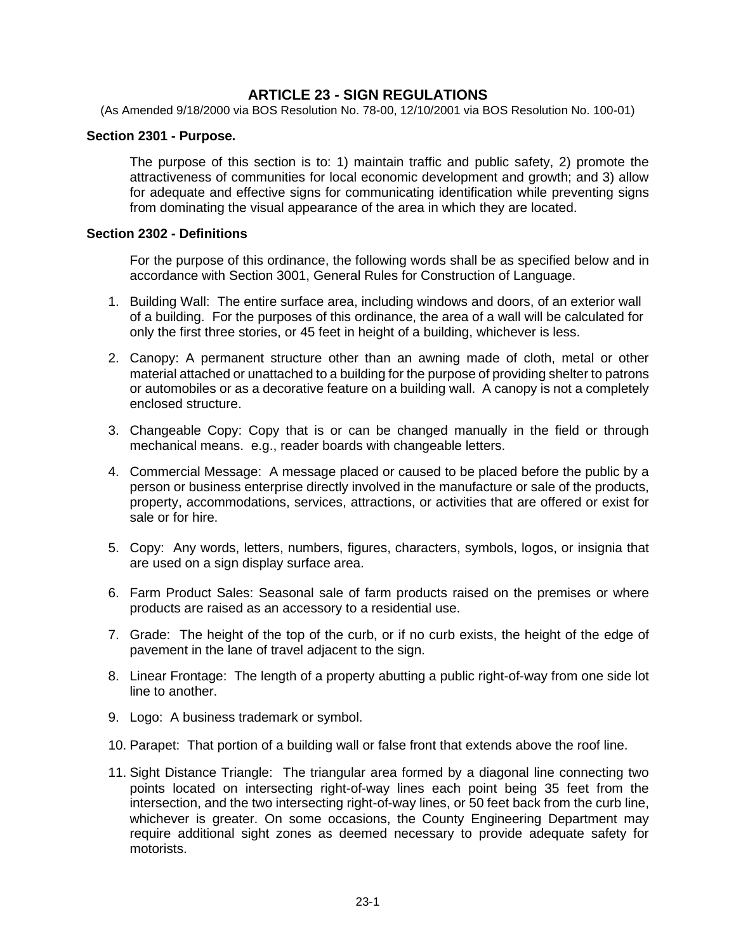# **ARTICLE 23 - SIGN REGULATIONS**

(As Amended 9/18/2000 via BOS Resolution No. 78-00, 12/10/2001 via BOS Resolution No. 100-01)

#### **Section 2301 - Purpose.**

The purpose of this section is to: 1) maintain traffic and public safety, 2) promote the attractiveness of communities for local economic development and growth; and 3) allow for adequate and effective signs for communicating identification while preventing signs from dominating the visual appearance of the area in which they are located.

#### **Section 2302 - Definitions**

For the purpose of this ordinance, the following words shall be as specified below and in accordance with Section 3001, General Rules for Construction of Language.

- 1. Building Wall: The entire surface area, including windows and doors, of an exterior wall of a building. For the purposes of this ordinance, the area of a wall will be calculated for only the first three stories, or 45 feet in height of a building, whichever is less.
- 2. Canopy: A permanent structure other than an awning made of cloth, metal or other material attached or unattached to a building for the purpose of providing shelter to patrons or automobiles or as a decorative feature on a building wall. A canopy is not a completely enclosed structure.
- 3. Changeable Copy: Copy that is or can be changed manually in the field or through mechanical means. e.g., reader boards with changeable letters.
- 4. Commercial Message: A message placed or caused to be placed before the public by a person or business enterprise directly involved in the manufacture or sale of the products, property, accommodations, services, attractions, or activities that are offered or exist for sale or for hire.
- 5. Copy: Any words, letters, numbers, figures, characters, symbols, logos, or insignia that are used on a sign display surface area.
- 6. Farm Product Sales: Seasonal sale of farm products raised on the premises or where products are raised as an accessory to a residential use.
- 7. Grade: The height of the top of the curb, or if no curb exists, the height of the edge of pavement in the lane of travel adjacent to the sign.
- 8. Linear Frontage: The length of a property abutting a public right-of-way from one side lot line to another.
- 9. Logo: A business trademark or symbol.
- 10. Parapet: That portion of a building wall or false front that extends above the roof line.
- 11. Sight Distance Triangle: The triangular area formed by a diagonal line connecting two points located on intersecting right-of-way lines each point being 35 feet from the intersection, and the two intersecting right-of-way lines, or 50 feet back from the curb line, whichever is greater. On some occasions, the County Engineering Department may require additional sight zones as deemed necessary to provide adequate safety for motorists.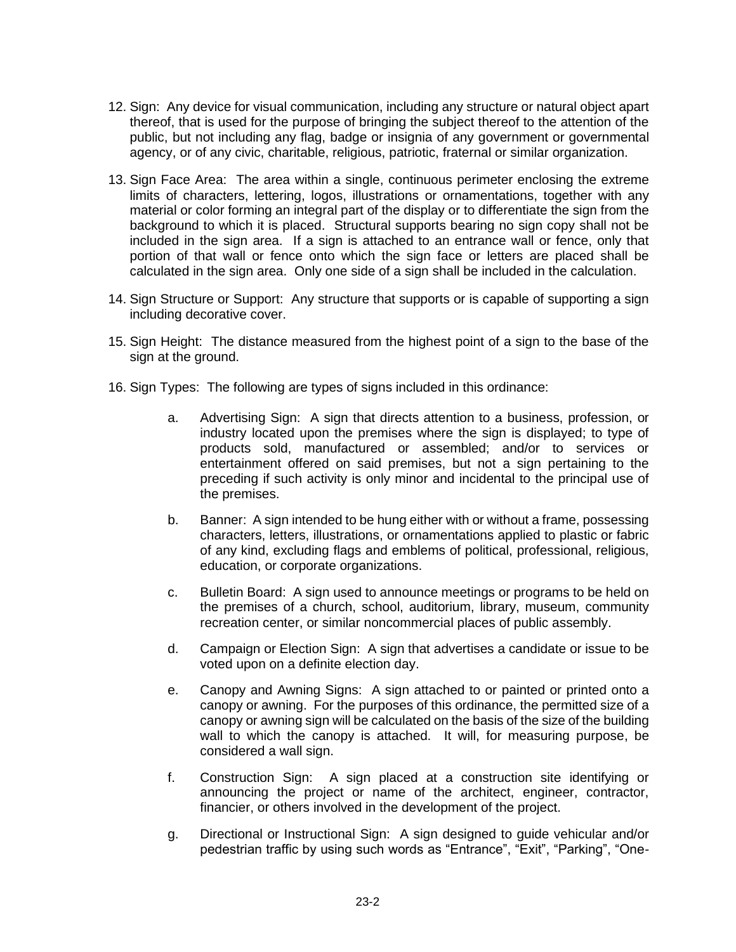- 12. Sign: Any device for visual communication, including any structure or natural object apart thereof, that is used for the purpose of bringing the subject thereof to the attention of the public, but not including any flag, badge or insignia of any government or governmental agency, or of any civic, charitable, religious, patriotic, fraternal or similar organization.
- 13. Sign Face Area: The area within a single, continuous perimeter enclosing the extreme limits of characters, lettering, logos, illustrations or ornamentations, together with any material or color forming an integral part of the display or to differentiate the sign from the background to which it is placed. Structural supports bearing no sign copy shall not be included in the sign area. If a sign is attached to an entrance wall or fence, only that portion of that wall or fence onto which the sign face or letters are placed shall be calculated in the sign area. Only one side of a sign shall be included in the calculation.
- 14. Sign Structure or Support: Any structure that supports or is capable of supporting a sign including decorative cover.
- 15. Sign Height: The distance measured from the highest point of a sign to the base of the sign at the ground.
- 16. Sign Types: The following are types of signs included in this ordinance:
	- a. Advertising Sign: A sign that directs attention to a business, profession, or industry located upon the premises where the sign is displayed; to type of products sold, manufactured or assembled; and/or to services or entertainment offered on said premises, but not a sign pertaining to the preceding if such activity is only minor and incidental to the principal use of the premises.
	- b. Banner: A sign intended to be hung either with or without a frame, possessing characters, letters, illustrations, or ornamentations applied to plastic or fabric of any kind, excluding flags and emblems of political, professional, religious, education, or corporate organizations.
	- c. Bulletin Board: A sign used to announce meetings or programs to be held on the premises of a church, school, auditorium, library, museum, community recreation center, or similar noncommercial places of public assembly.
	- d. Campaign or Election Sign: A sign that advertises a candidate or issue to be voted upon on a definite election day.
	- e. Canopy and Awning Signs: A sign attached to or painted or printed onto a canopy or awning. For the purposes of this ordinance, the permitted size of a canopy or awning sign will be calculated on the basis of the size of the building wall to which the canopy is attached. It will, for measuring purpose, be considered a wall sign.
	- f. Construction Sign: A sign placed at a construction site identifying or announcing the project or name of the architect, engineer, contractor, financier, or others involved in the development of the project.
	- g. Directional or Instructional Sign: A sign designed to guide vehicular and/or pedestrian traffic by using such words as "Entrance", "Exit", "Parking", "One-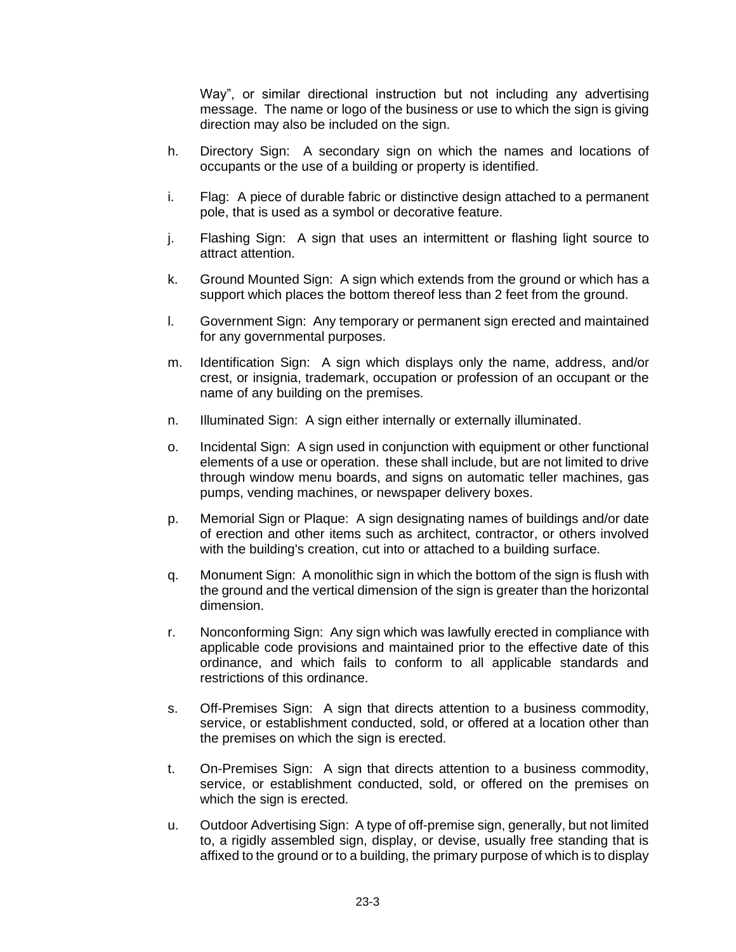Way", or similar directional instruction but not including any advertising message. The name or logo of the business or use to which the sign is giving direction may also be included on the sign.

- h. Directory Sign: A secondary sign on which the names and locations of occupants or the use of a building or property is identified.
- i. Flag: A piece of durable fabric or distinctive design attached to a permanent pole, that is used as a symbol or decorative feature.
- j. Flashing Sign: A sign that uses an intermittent or flashing light source to attract attention.
- k. Ground Mounted Sign: A sign which extends from the ground or which has a support which places the bottom thereof less than 2 feet from the ground.
- l. Government Sign: Any temporary or permanent sign erected and maintained for any governmental purposes.
- m. Identification Sign: A sign which displays only the name, address, and/or crest, or insignia, trademark, occupation or profession of an occupant or the name of any building on the premises.
- n. Illuminated Sign: A sign either internally or externally illuminated.
- o. Incidental Sign: A sign used in conjunction with equipment or other functional elements of a use or operation. these shall include, but are not limited to drive through window menu boards, and signs on automatic teller machines, gas pumps, vending machines, or newspaper delivery boxes.
- p. Memorial Sign or Plaque: A sign designating names of buildings and/or date of erection and other items such as architect, contractor, or others involved with the building's creation, cut into or attached to a building surface.
- q. Monument Sign: A monolithic sign in which the bottom of the sign is flush with the ground and the vertical dimension of the sign is greater than the horizontal dimension.
- r. Nonconforming Sign: Any sign which was lawfully erected in compliance with applicable code provisions and maintained prior to the effective date of this ordinance, and which fails to conform to all applicable standards and restrictions of this ordinance.
- s. Off-Premises Sign: A sign that directs attention to a business commodity, service, or establishment conducted, sold, or offered at a location other than the premises on which the sign is erected.
- t. On-Premises Sign: A sign that directs attention to a business commodity, service, or establishment conducted, sold, or offered on the premises on which the sign is erected.
- u. Outdoor Advertising Sign: A type of off-premise sign, generally, but not limited to, a rigidly assembled sign, display, or devise, usually free standing that is affixed to the ground or to a building, the primary purpose of which is to display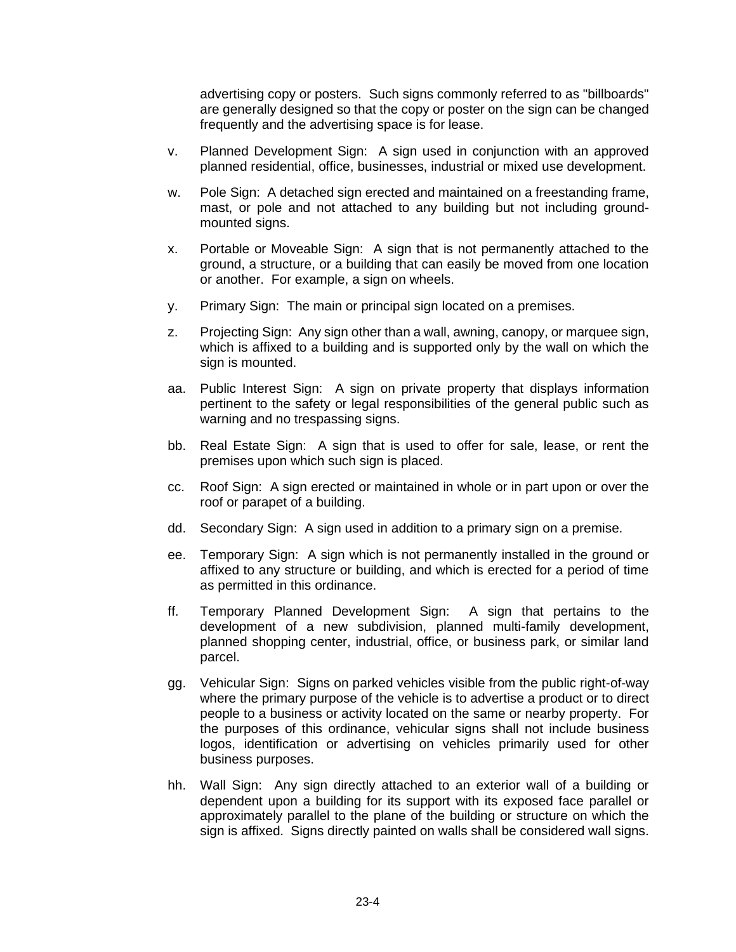advertising copy or posters. Such signs commonly referred to as "billboards" are generally designed so that the copy or poster on the sign can be changed frequently and the advertising space is for lease.

- v. Planned Development Sign: A sign used in conjunction with an approved planned residential, office, businesses, industrial or mixed use development.
- w. Pole Sign: A detached sign erected and maintained on a freestanding frame, mast, or pole and not attached to any building but not including groundmounted signs.
- x. Portable or Moveable Sign: A sign that is not permanently attached to the ground, a structure, or a building that can easily be moved from one location or another. For example, a sign on wheels.
- y. Primary Sign: The main or principal sign located on a premises.
- z. Projecting Sign: Any sign other than a wall, awning, canopy, or marquee sign, which is affixed to a building and is supported only by the wall on which the sign is mounted.
- aa. Public Interest Sign: A sign on private property that displays information pertinent to the safety or legal responsibilities of the general public such as warning and no trespassing signs.
- bb. Real Estate Sign: A sign that is used to offer for sale, lease, or rent the premises upon which such sign is placed.
- cc. Roof Sign: A sign erected or maintained in whole or in part upon or over the roof or parapet of a building.
- dd. Secondary Sign: A sign used in addition to a primary sign on a premise.
- ee. Temporary Sign: A sign which is not permanently installed in the ground or affixed to any structure or building, and which is erected for a period of time as permitted in this ordinance.
- ff. Temporary Planned Development Sign: A sign that pertains to the development of a new subdivision, planned multi-family development, planned shopping center, industrial, office, or business park, or similar land parcel.
- gg. Vehicular Sign: Signs on parked vehicles visible from the public right-of-way where the primary purpose of the vehicle is to advertise a product or to direct people to a business or activity located on the same or nearby property. For the purposes of this ordinance, vehicular signs shall not include business logos, identification or advertising on vehicles primarily used for other business purposes.
- hh. Wall Sign: Any sign directly attached to an exterior wall of a building or dependent upon a building for its support with its exposed face parallel or approximately parallel to the plane of the building or structure on which the sign is affixed. Signs directly painted on walls shall be considered wall signs.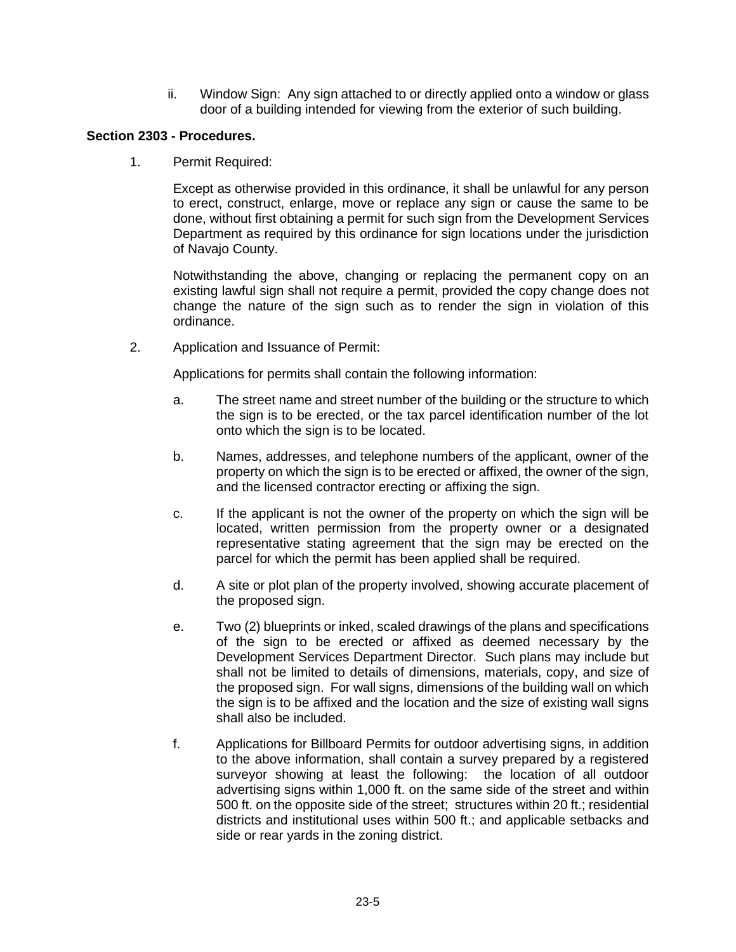ii. Window Sign: Any sign attached to or directly applied onto a window or glass door of a building intended for viewing from the exterior of such building.

# **Section 2303 - Procedures.**

1. Permit Required:

Except as otherwise provided in this ordinance, it shall be unlawful for any person to erect, construct, enlarge, move or replace any sign or cause the same to be done, without first obtaining a permit for such sign from the Development Services Department as required by this ordinance for sign locations under the jurisdiction of Navajo County.

Notwithstanding the above, changing or replacing the permanent copy on an existing lawful sign shall not require a permit, provided the copy change does not change the nature of the sign such as to render the sign in violation of this ordinance.

2. Application and Issuance of Permit:

Applications for permits shall contain the following information:

- a. The street name and street number of the building or the structure to which the sign is to be erected, or the tax parcel identification number of the lot onto which the sign is to be located.
- b. Names, addresses, and telephone numbers of the applicant, owner of the property on which the sign is to be erected or affixed, the owner of the sign, and the licensed contractor erecting or affixing the sign.
- c. If the applicant is not the owner of the property on which the sign will be located, written permission from the property owner or a designated representative stating agreement that the sign may be erected on the parcel for which the permit has been applied shall be required.
- d. A site or plot plan of the property involved, showing accurate placement of the proposed sign.
- e. Two (2) blueprints or inked, scaled drawings of the plans and specifications of the sign to be erected or affixed as deemed necessary by the Development Services Department Director. Such plans may include but shall not be limited to details of dimensions, materials, copy, and size of the proposed sign. For wall signs, dimensions of the building wall on which the sign is to be affixed and the location and the size of existing wall signs shall also be included.
- f. Applications for Billboard Permits for outdoor advertising signs, in addition to the above information, shall contain a survey prepared by a registered surveyor showing at least the following: the location of all outdoor advertising signs within 1,000 ft. on the same side of the street and within 500 ft. on the opposite side of the street; structures within 20 ft.; residential districts and institutional uses within 500 ft.; and applicable setbacks and side or rear yards in the zoning district.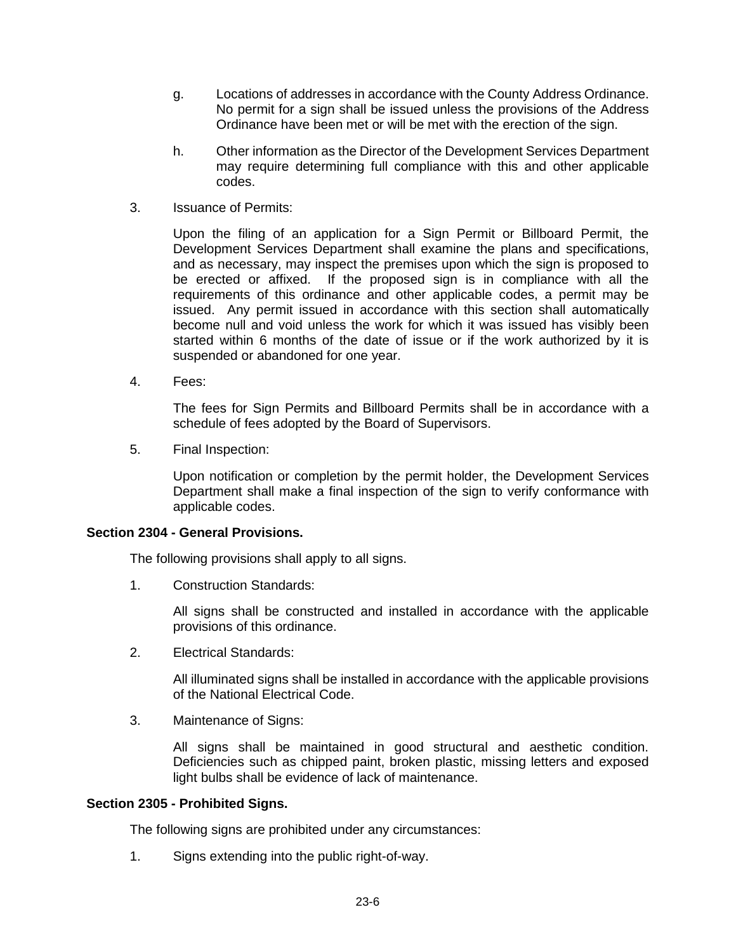- g. Locations of addresses in accordance with the County Address Ordinance. No permit for a sign shall be issued unless the provisions of the Address Ordinance have been met or will be met with the erection of the sign.
- h. Other information as the Director of the Development Services Department may require determining full compliance with this and other applicable codes.
- 3. Issuance of Permits:

Upon the filing of an application for a Sign Permit or Billboard Permit, the Development Services Department shall examine the plans and specifications, and as necessary, may inspect the premises upon which the sign is proposed to be erected or affixed. If the proposed sign is in compliance with all the requirements of this ordinance and other applicable codes, a permit may be issued. Any permit issued in accordance with this section shall automatically become null and void unless the work for which it was issued has visibly been started within 6 months of the date of issue or if the work authorized by it is suspended or abandoned for one year.

4. Fees:

The fees for Sign Permits and Billboard Permits shall be in accordance with a schedule of fees adopted by the Board of Supervisors.

5. Final Inspection:

Upon notification or completion by the permit holder, the Development Services Department shall make a final inspection of the sign to verify conformance with applicable codes.

#### **Section 2304 - General Provisions.**

The following provisions shall apply to all signs.

1. Construction Standards:

All signs shall be constructed and installed in accordance with the applicable provisions of this ordinance.

2. Electrical Standards:

All illuminated signs shall be installed in accordance with the applicable provisions of the National Electrical Code.

3. Maintenance of Signs:

All signs shall be maintained in good structural and aesthetic condition. Deficiencies such as chipped paint, broken plastic, missing letters and exposed light bulbs shall be evidence of lack of maintenance.

#### **Section 2305 - Prohibited Signs.**

The following signs are prohibited under any circumstances:

1. Signs extending into the public right-of-way.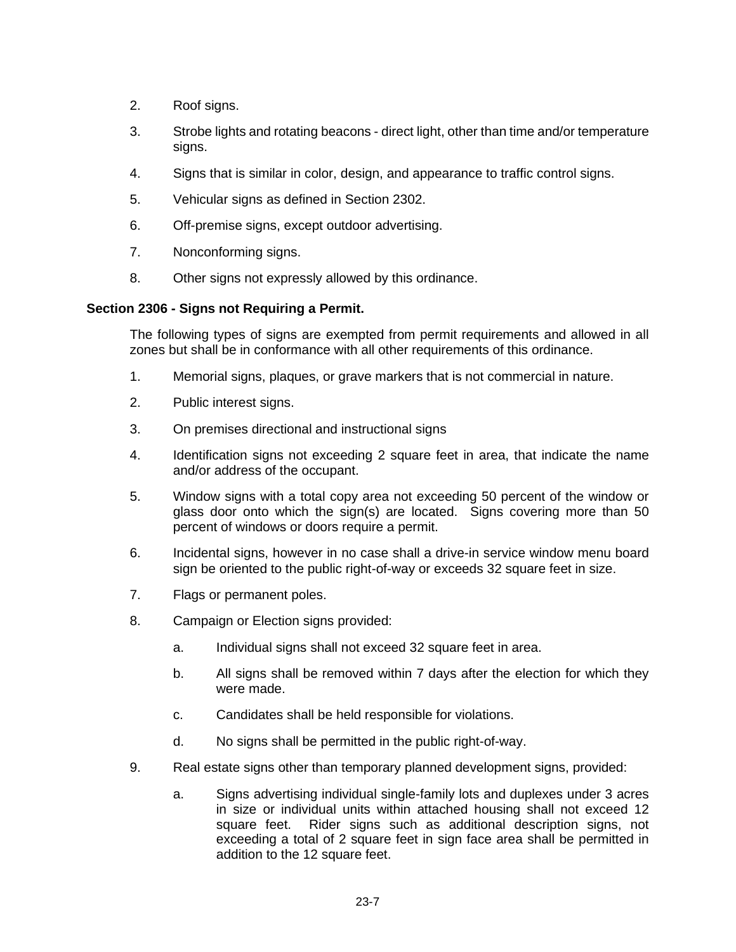- 2. Roof signs.
- 3. Strobe lights and rotating beacons direct light, other than time and/or temperature sians.
- 4. Signs that is similar in color, design, and appearance to traffic control signs.
- 5. Vehicular signs as defined in Section 2302.
- 6. Off-premise signs, except outdoor advertising.
- 7. Nonconforming signs.
- 8. Other signs not expressly allowed by this ordinance.

### **Section 2306 - Signs not Requiring a Permit.**

The following types of signs are exempted from permit requirements and allowed in all zones but shall be in conformance with all other requirements of this ordinance.

- 1. Memorial signs, plaques, or grave markers that is not commercial in nature.
- 2. Public interest signs.
- 3. On premises directional and instructional signs
- 4. Identification signs not exceeding 2 square feet in area, that indicate the name and/or address of the occupant.
- 5. Window signs with a total copy area not exceeding 50 percent of the window or glass door onto which the sign(s) are located. Signs covering more than 50 percent of windows or doors require a permit.
- 6. Incidental signs, however in no case shall a drive-in service window menu board sign be oriented to the public right-of-way or exceeds 32 square feet in size.
- 7. Flags or permanent poles.
- 8. Campaign or Election signs provided:
	- a. Individual signs shall not exceed 32 square feet in area.
	- b. All signs shall be removed within 7 days after the election for which they were made.
	- c. Candidates shall be held responsible for violations.
	- d. No signs shall be permitted in the public right-of-way.
- 9. Real estate signs other than temporary planned development signs, provided:
	- a. Signs advertising individual single-family lots and duplexes under 3 acres in size or individual units within attached housing shall not exceed 12 square feet. Rider signs such as additional description signs, not exceeding a total of 2 square feet in sign face area shall be permitted in addition to the 12 square feet.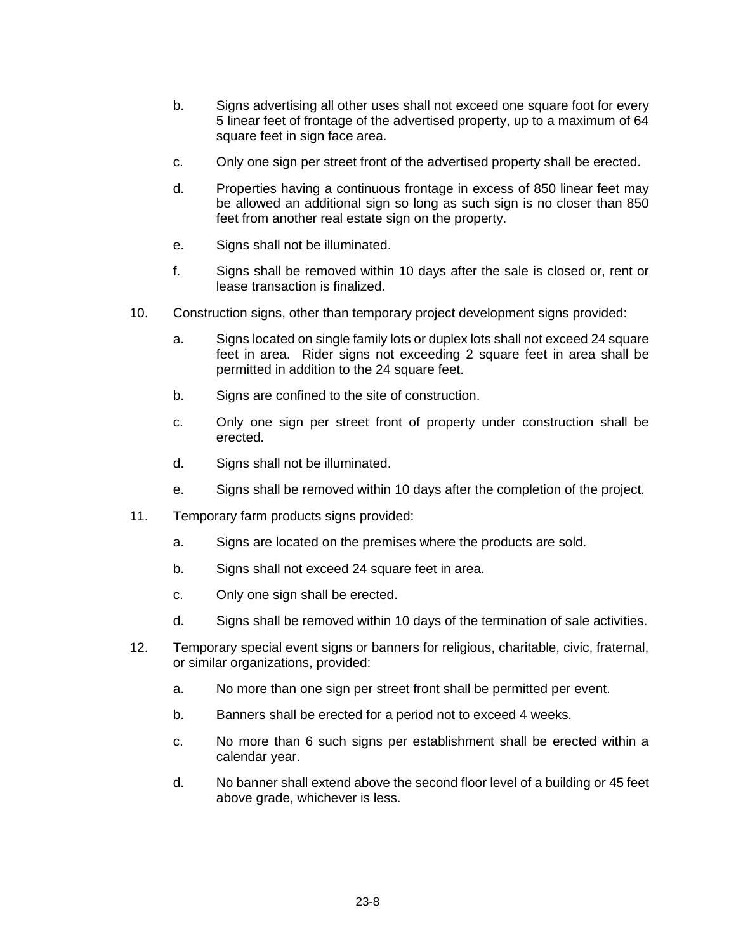- b. Signs advertising all other uses shall not exceed one square foot for every 5 linear feet of frontage of the advertised property, up to a maximum of 64 square feet in sign face area.
- c. Only one sign per street front of the advertised property shall be erected.
- d. Properties having a continuous frontage in excess of 850 linear feet may be allowed an additional sign so long as such sign is no closer than 850 feet from another real estate sign on the property.
- e. Signs shall not be illuminated.
- f. Signs shall be removed within 10 days after the sale is closed or, rent or lease transaction is finalized.
- 10. Construction signs, other than temporary project development signs provided:
	- a. Signs located on single family lots or duplex lots shall not exceed 24 square feet in area. Rider signs not exceeding 2 square feet in area shall be permitted in addition to the 24 square feet.
	- b. Signs are confined to the site of construction.
	- c. Only one sign per street front of property under construction shall be erected.
	- d. Signs shall not be illuminated.
	- e. Signs shall be removed within 10 days after the completion of the project.
- 11. Temporary farm products signs provided:
	- a. Signs are located on the premises where the products are sold.
	- b. Signs shall not exceed 24 square feet in area.
	- c. Only one sign shall be erected.
	- d. Signs shall be removed within 10 days of the termination of sale activities.
- 12. Temporary special event signs or banners for religious, charitable, civic, fraternal, or similar organizations, provided:
	- a. No more than one sign per street front shall be permitted per event.
	- b. Banners shall be erected for a period not to exceed 4 weeks.
	- c. No more than 6 such signs per establishment shall be erected within a calendar year.
	- d. No banner shall extend above the second floor level of a building or 45 feet above grade, whichever is less.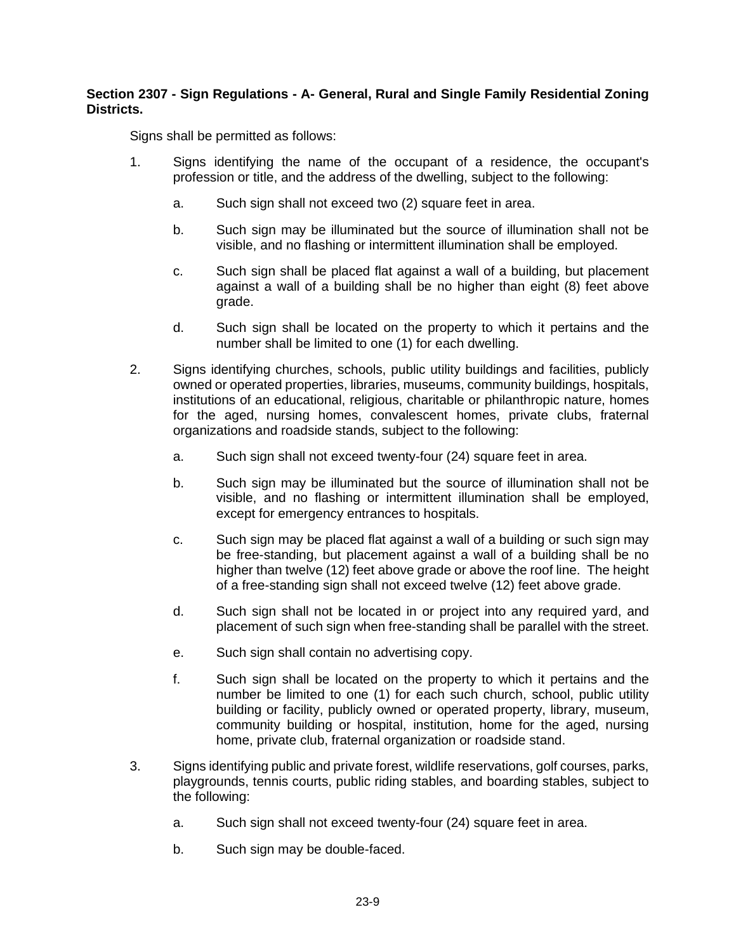# **Section 2307 - Sign Regulations - A- General, Rural and Single Family Residential Zoning Districts.**

Signs shall be permitted as follows:

- 1. Signs identifying the name of the occupant of a residence, the occupant's profession or title, and the address of the dwelling, subject to the following:
	- a. Such sign shall not exceed two (2) square feet in area.
	- b. Such sign may be illuminated but the source of illumination shall not be visible, and no flashing or intermittent illumination shall be employed.
	- c. Such sign shall be placed flat against a wall of a building, but placement against a wall of a building shall be no higher than eight (8) feet above grade.
	- d. Such sign shall be located on the property to which it pertains and the number shall be limited to one (1) for each dwelling.
- 2. Signs identifying churches, schools, public utility buildings and facilities, publicly owned or operated properties, libraries, museums, community buildings, hospitals, institutions of an educational, religious, charitable or philanthropic nature, homes for the aged, nursing homes, convalescent homes, private clubs, fraternal organizations and roadside stands, subject to the following:
	- a. Such sign shall not exceed twenty-four (24) square feet in area.
	- b. Such sign may be illuminated but the source of illumination shall not be visible, and no flashing or intermittent illumination shall be employed, except for emergency entrances to hospitals.
	- c. Such sign may be placed flat against a wall of a building or such sign may be free-standing, but placement against a wall of a building shall be no higher than twelve (12) feet above grade or above the roof line. The height of a free-standing sign shall not exceed twelve (12) feet above grade.
	- d. Such sign shall not be located in or project into any required yard, and placement of such sign when free-standing shall be parallel with the street.
	- e. Such sign shall contain no advertising copy.
	- f. Such sign shall be located on the property to which it pertains and the number be limited to one (1) for each such church, school, public utility building or facility, publicly owned or operated property, library, museum, community building or hospital, institution, home for the aged, nursing home, private club, fraternal organization or roadside stand.
- 3. Signs identifying public and private forest, wildlife reservations, golf courses, parks, playgrounds, tennis courts, public riding stables, and boarding stables, subject to the following:
	- a. Such sign shall not exceed twenty-four (24) square feet in area.
	- b. Such sign may be double-faced.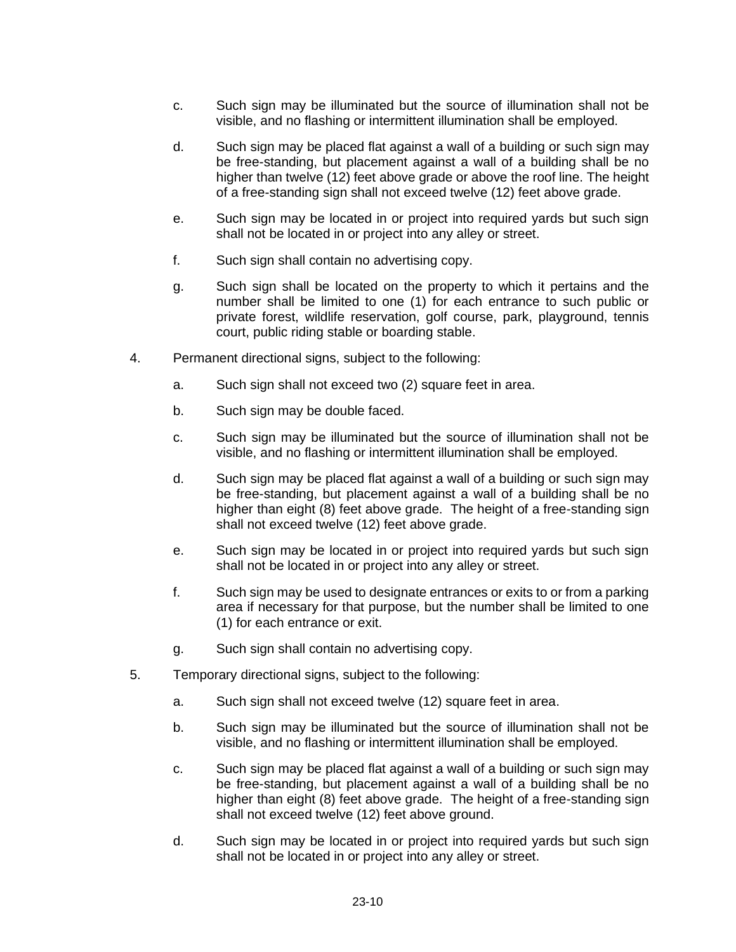- c. Such sign may be illuminated but the source of illumination shall not be visible, and no flashing or intermittent illumination shall be employed.
- d. Such sign may be placed flat against a wall of a building or such sign may be free-standing, but placement against a wall of a building shall be no higher than twelve (12) feet above grade or above the roof line. The height of a free-standing sign shall not exceed twelve (12) feet above grade.
- e. Such sign may be located in or project into required yards but such sign shall not be located in or project into any alley or street.
- f. Such sign shall contain no advertising copy.
- g. Such sign shall be located on the property to which it pertains and the number shall be limited to one (1) for each entrance to such public or private forest, wildlife reservation, golf course, park, playground, tennis court, public riding stable or boarding stable.
- 4. Permanent directional signs, subject to the following:
	- a. Such sign shall not exceed two (2) square feet in area.
	- b. Such sign may be double faced.
	- c. Such sign may be illuminated but the source of illumination shall not be visible, and no flashing or intermittent illumination shall be employed.
	- d. Such sign may be placed flat against a wall of a building or such sign may be free-standing, but placement against a wall of a building shall be no higher than eight (8) feet above grade. The height of a free-standing sign shall not exceed twelve (12) feet above grade.
	- e. Such sign may be located in or project into required yards but such sign shall not be located in or project into any alley or street.
	- f. Such sign may be used to designate entrances or exits to or from a parking area if necessary for that purpose, but the number shall be limited to one (1) for each entrance or exit.
	- g. Such sign shall contain no advertising copy.
- 5. Temporary directional signs, subject to the following:
	- a. Such sign shall not exceed twelve (12) square feet in area.
	- b. Such sign may be illuminated but the source of illumination shall not be visible, and no flashing or intermittent illumination shall be employed.
	- c. Such sign may be placed flat against a wall of a building or such sign may be free-standing, but placement against a wall of a building shall be no higher than eight (8) feet above grade. The height of a free-standing sign shall not exceed twelve (12) feet above ground.
	- d. Such sign may be located in or project into required yards but such sign shall not be located in or project into any alley or street.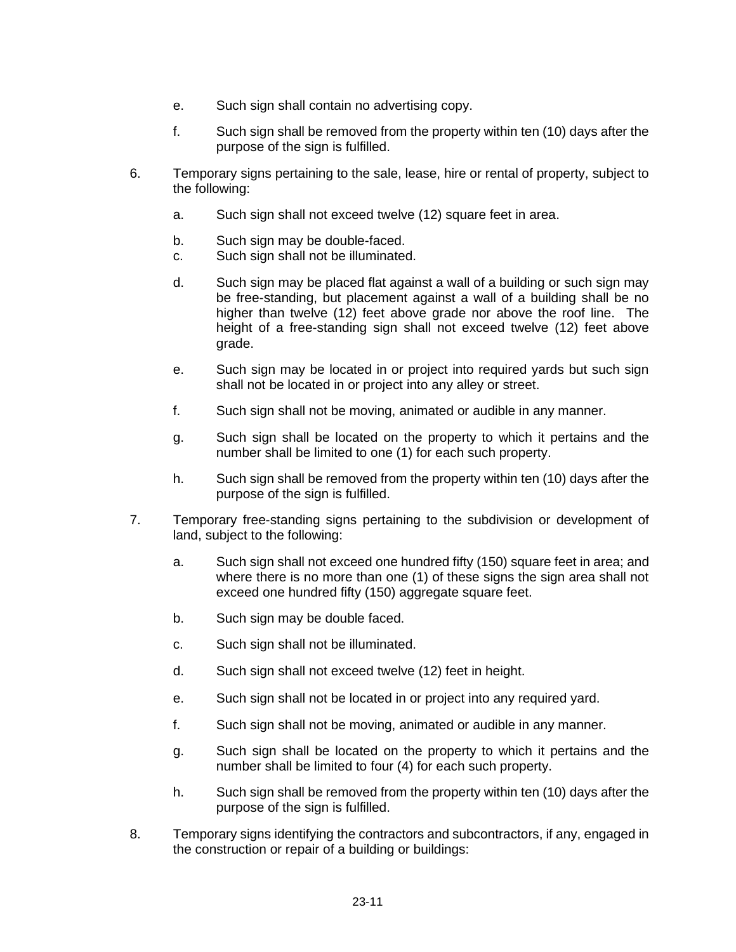- e. Such sign shall contain no advertising copy.
- f. Such sign shall be removed from the property within ten (10) days after the purpose of the sign is fulfilled.
- 6. Temporary signs pertaining to the sale, lease, hire or rental of property, subject to the following:
	- a. Such sign shall not exceed twelve (12) square feet in area.
	- b. Such sign may be double-faced.
	- c. Such sign shall not be illuminated.
	- d. Such sign may be placed flat against a wall of a building or such sign may be free-standing, but placement against a wall of a building shall be no higher than twelve (12) feet above grade nor above the roof line. The height of a free-standing sign shall not exceed twelve (12) feet above grade.
	- e. Such sign may be located in or project into required yards but such sign shall not be located in or project into any alley or street.
	- f. Such sign shall not be moving, animated or audible in any manner.
	- g. Such sign shall be located on the property to which it pertains and the number shall be limited to one (1) for each such property.
	- h. Such sign shall be removed from the property within ten (10) days after the purpose of the sign is fulfilled.
- 7. Temporary free-standing signs pertaining to the subdivision or development of land, subject to the following:
	- a. Such sign shall not exceed one hundred fifty (150) square feet in area; and where there is no more than one (1) of these signs the sign area shall not exceed one hundred fifty (150) aggregate square feet.
	- b. Such sign may be double faced.
	- c. Such sign shall not be illuminated.
	- d. Such sign shall not exceed twelve (12) feet in height.
	- e. Such sign shall not be located in or project into any required yard.
	- f. Such sign shall not be moving, animated or audible in any manner.
	- g. Such sign shall be located on the property to which it pertains and the number shall be limited to four (4) for each such property.
	- h. Such sign shall be removed from the property within ten (10) days after the purpose of the sign is fulfilled.
- 8. Temporary signs identifying the contractors and subcontractors, if any, engaged in the construction or repair of a building or buildings: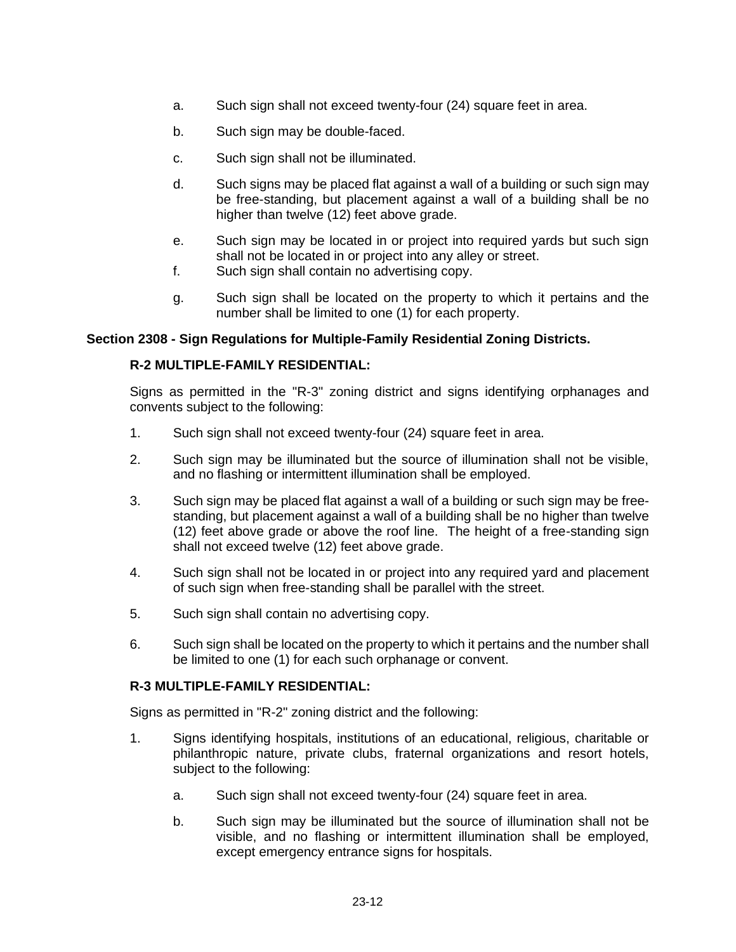- a. Such sign shall not exceed twenty-four (24) square feet in area.
- b. Such sign may be double-faced.
- c. Such sign shall not be illuminated.
- d. Such signs may be placed flat against a wall of a building or such sign may be free-standing, but placement against a wall of a building shall be no higher than twelve (12) feet above grade.
- e. Such sign may be located in or project into required yards but such sign shall not be located in or project into any alley or street.
- f. Such sign shall contain no advertising copy.
- g. Such sign shall be located on the property to which it pertains and the number shall be limited to one (1) for each property.

#### **Section 2308 - Sign Regulations for Multiple-Family Residential Zoning Districts.**

### **R-2 MULTIPLE-FAMILY RESIDENTIAL:**

Signs as permitted in the "R-3" zoning district and signs identifying orphanages and convents subject to the following:

- 1. Such sign shall not exceed twenty-four (24) square feet in area.
- 2. Such sign may be illuminated but the source of illumination shall not be visible, and no flashing or intermittent illumination shall be employed.
- 3. Such sign may be placed flat against a wall of a building or such sign may be freestanding, but placement against a wall of a building shall be no higher than twelve (12) feet above grade or above the roof line. The height of a free-standing sign shall not exceed twelve (12) feet above grade.
- 4. Such sign shall not be located in or project into any required yard and placement of such sign when free-standing shall be parallel with the street.
- 5. Such sign shall contain no advertising copy.
- 6. Such sign shall be located on the property to which it pertains and the number shall be limited to one (1) for each such orphanage or convent.

#### **R-3 MULTIPLE-FAMILY RESIDENTIAL:**

Signs as permitted in "R-2" zoning district and the following:

- 1. Signs identifying hospitals, institutions of an educational, religious, charitable or philanthropic nature, private clubs, fraternal organizations and resort hotels, subject to the following:
	- a. Such sign shall not exceed twenty-four (24) square feet in area.
	- b. Such sign may be illuminated but the source of illumination shall not be visible, and no flashing or intermittent illumination shall be employed, except emergency entrance signs for hospitals.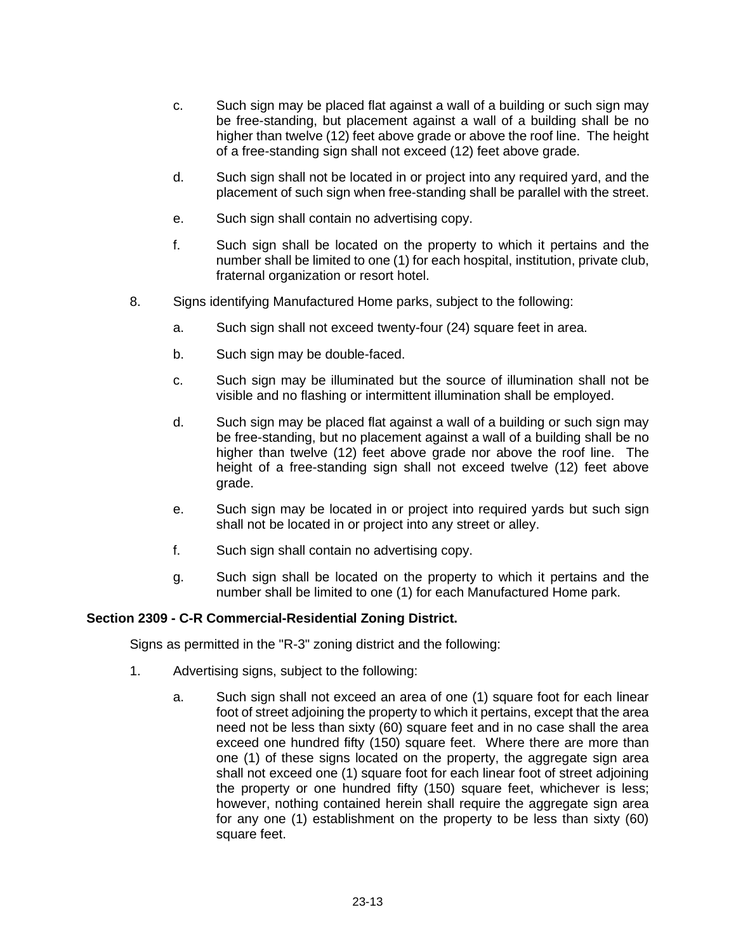- c. Such sign may be placed flat against a wall of a building or such sign may be free-standing, but placement against a wall of a building shall be no higher than twelve (12) feet above grade or above the roof line. The height of a free-standing sign shall not exceed (12) feet above grade.
- d. Such sign shall not be located in or project into any required yard, and the placement of such sign when free-standing shall be parallel with the street.
- e. Such sign shall contain no advertising copy.
- f. Such sign shall be located on the property to which it pertains and the number shall be limited to one (1) for each hospital, institution, private club, fraternal organization or resort hotel.
- 8. Signs identifying Manufactured Home parks, subject to the following:
	- a. Such sign shall not exceed twenty-four (24) square feet in area.
	- b. Such sign may be double-faced.
	- c. Such sign may be illuminated but the source of illumination shall not be visible and no flashing or intermittent illumination shall be employed.
	- d. Such sign may be placed flat against a wall of a building or such sign may be free-standing, but no placement against a wall of a building shall be no higher than twelve (12) feet above grade nor above the roof line. The height of a free-standing sign shall not exceed twelve (12) feet above grade.
	- e. Such sign may be located in or project into required yards but such sign shall not be located in or project into any street or alley.
	- f. Such sign shall contain no advertising copy.
	- g. Such sign shall be located on the property to which it pertains and the number shall be limited to one (1) for each Manufactured Home park.

# **Section 2309 - C-R Commercial-Residential Zoning District.**

Signs as permitted in the "R-3" zoning district and the following:

- 1. Advertising signs, subject to the following:
	- a. Such sign shall not exceed an area of one (1) square foot for each linear foot of street adjoining the property to which it pertains, except that the area need not be less than sixty (60) square feet and in no case shall the area exceed one hundred fifty (150) square feet. Where there are more than one (1) of these signs located on the property, the aggregate sign area shall not exceed one (1) square foot for each linear foot of street adjoining the property or one hundred fifty (150) square feet, whichever is less; however, nothing contained herein shall require the aggregate sign area for any one (1) establishment on the property to be less than sixty (60) square feet.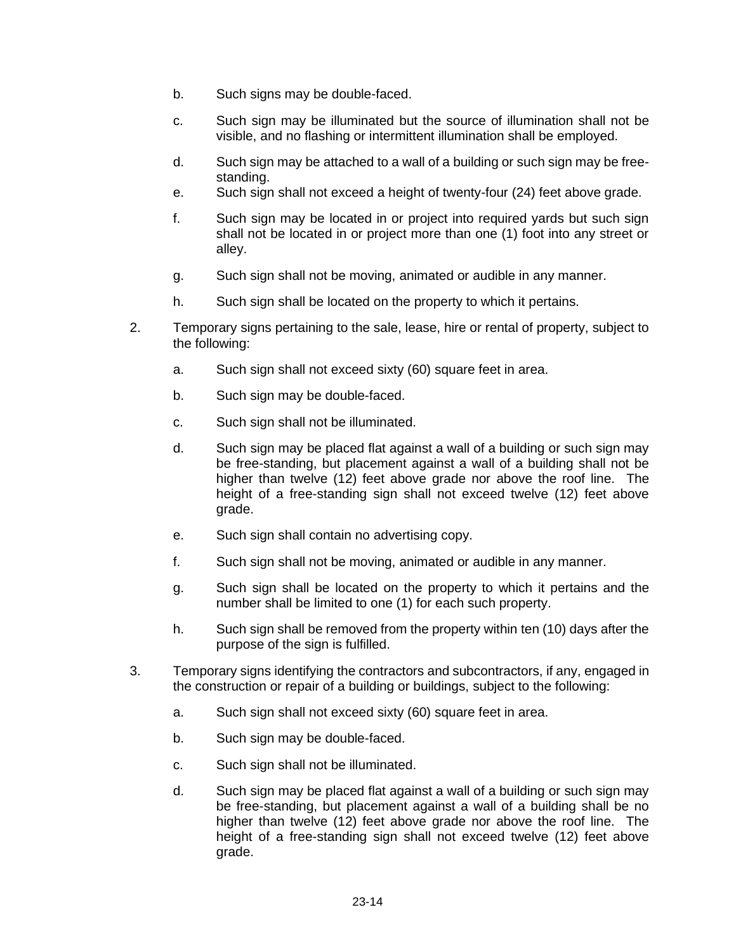- b. Such signs may be double-faced.
- c. Such sign may be illuminated but the source of illumination shall not be visible, and no flashing or intermittent illumination shall be employed.
- d. Such sign may be attached to a wall of a building or such sign may be freestanding.
- e. Such sign shall not exceed a height of twenty-four (24) feet above grade.
- f. Such sign may be located in or project into required yards but such sign shall not be located in or project more than one (1) foot into any street or alley.
- g. Such sign shall not be moving, animated or audible in any manner.
- h. Such sign shall be located on the property to which it pertains.
- 2. Temporary signs pertaining to the sale, lease, hire or rental of property, subject to the following:
	- a. Such sign shall not exceed sixty (60) square feet in area.
	- b. Such sign may be double-faced.
	- c. Such sign shall not be illuminated.
	- d. Such sign may be placed flat against a wall of a building or such sign may be free-standing, but placement against a wall of a building shall not be higher than twelve (12) feet above grade nor above the roof line. The height of a free-standing sign shall not exceed twelve (12) feet above grade.
	- e. Such sign shall contain no advertising copy.
	- f. Such sign shall not be moving, animated or audible in any manner.
	- g. Such sign shall be located on the property to which it pertains and the number shall be limited to one (1) for each such property.
	- h. Such sign shall be removed from the property within ten (10) days after the purpose of the sign is fulfilled.
- 3. Temporary signs identifying the contractors and subcontractors, if any, engaged in the construction or repair of a building or buildings, subject to the following:
	- a. Such sign shall not exceed sixty (60) square feet in area.
	- b. Such sign may be double-faced.
	- c. Such sign shall not be illuminated.
	- d. Such sign may be placed flat against a wall of a building or such sign may be free-standing, but placement against a wall of a building shall be no higher than twelve (12) feet above grade nor above the roof line. The height of a free-standing sign shall not exceed twelve (12) feet above grade.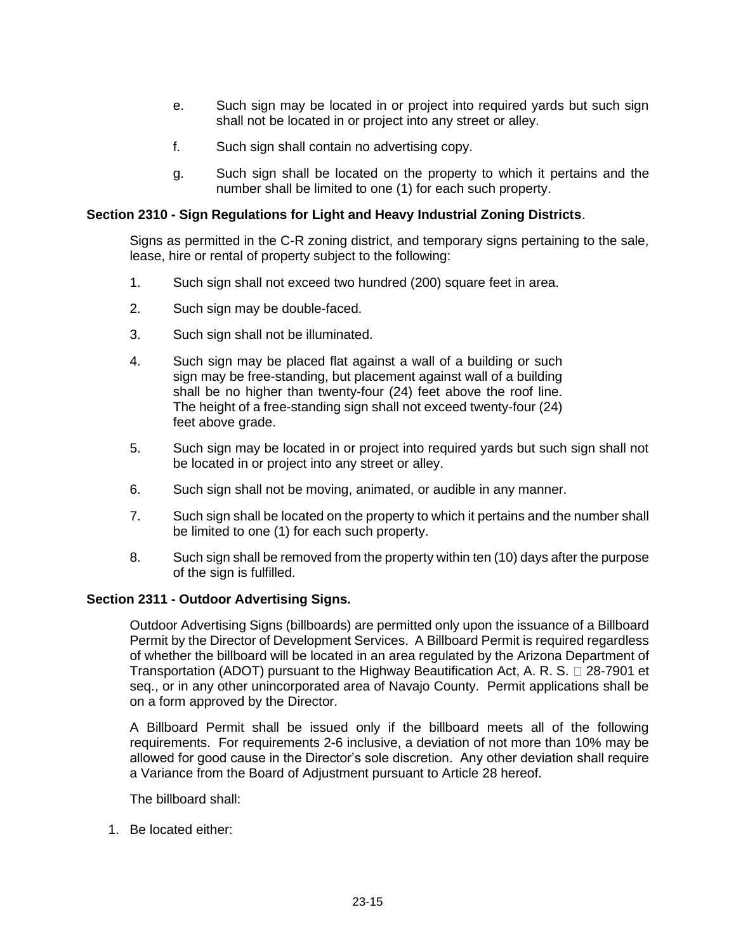- e. Such sign may be located in or project into required yards but such sign shall not be located in or project into any street or alley.
- f. Such sign shall contain no advertising copy.
- g. Such sign shall be located on the property to which it pertains and the number shall be limited to one (1) for each such property.

### **Section 2310 - Sign Regulations for Light and Heavy Industrial Zoning Districts**.

Signs as permitted in the C-R zoning district, and temporary signs pertaining to the sale, lease, hire or rental of property subject to the following:

- 1. Such sign shall not exceed two hundred (200) square feet in area.
- 2. Such sign may be double-faced.
- 3. Such sign shall not be illuminated.
- 4. Such sign may be placed flat against a wall of a building or such sign may be free-standing, but placement against wall of a building shall be no higher than twenty-four (24) feet above the roof line. The height of a free-standing sign shall not exceed twenty-four (24) feet above grade.
- 5. Such sign may be located in or project into required yards but such sign shall not be located in or project into any street or alley.
- 6. Such sign shall not be moving, animated, or audible in any manner.
- 7. Such sign shall be located on the property to which it pertains and the number shall be limited to one (1) for each such property.
- 8. Such sign shall be removed from the property within ten (10) days after the purpose of the sign is fulfilled.

#### **Section 2311 - Outdoor Advertising Signs.**

Outdoor Advertising Signs (billboards) are permitted only upon the issuance of a Billboard Permit by the Director of Development Services. A Billboard Permit is required regardless of whether the billboard will be located in an area regulated by the Arizona Department of Transportation (ADOT) pursuant to the Highway Beautification Act, A. R. S.  $\Box$  28-7901 et seq., or in any other unincorporated area of Navajo County. Permit applications shall be on a form approved by the Director.

A Billboard Permit shall be issued only if the billboard meets all of the following requirements. For requirements 2-6 inclusive, a deviation of not more than 10% may be allowed for good cause in the Director's sole discretion. Any other deviation shall require a Variance from the Board of Adjustment pursuant to Article 28 hereof.

The billboard shall:

1. Be located either: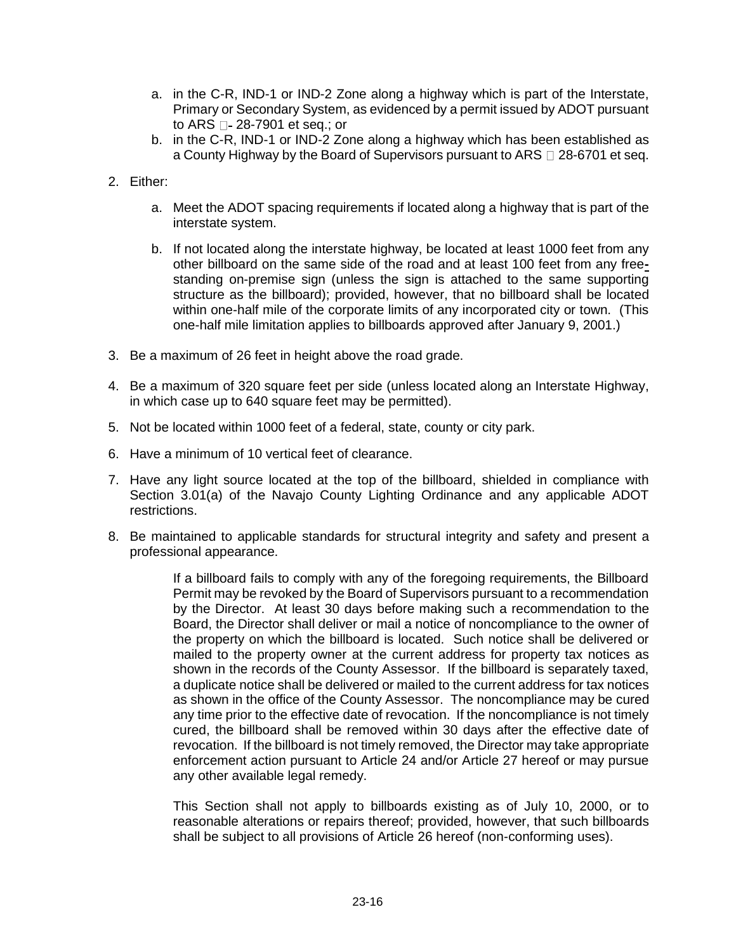- a. in the C-R, IND-1 or IND-2 Zone along a highway which is part of the Interstate, Primary or Secondary System, as evidenced by a permit issued by ADOT pursuant to ARS  $\Box$ - 28-7901 et seq.; or
- b. in the C-R, IND-1 or IND-2 Zone along a highway which has been established as a County Highway by the Board of Supervisors pursuant to ARS  $\Box$  28-6701 et seg.
- 2. Either:
	- a. Meet the ADOT spacing requirements if located along a highway that is part of the interstate system.
	- b. If not located along the interstate highway, be located at least 1000 feet from any other billboard on the same side of the road and at least 100 feet from any freestanding on-premise sign (unless the sign is attached to the same supporting structure as the billboard); provided, however, that no billboard shall be located within one-half mile of the corporate limits of any incorporated city or town. (This one-half mile limitation applies to billboards approved after January 9, 2001.)
- 3. Be a maximum of 26 feet in height above the road grade.
- 4. Be a maximum of 320 square feet per side (unless located along an Interstate Highway, in which case up to 640 square feet may be permitted).
- 5. Not be located within 1000 feet of a federal, state, county or city park.
- 6. Have a minimum of 10 vertical feet of clearance.
- 7. Have any light source located at the top of the billboard, shielded in compliance with Section 3.01(a) of the Navajo County Lighting Ordinance and any applicable ADOT restrictions.
- 8. Be maintained to applicable standards for structural integrity and safety and present a professional appearance.

If a billboard fails to comply with any of the foregoing requirements, the Billboard Permit may be revoked by the Board of Supervisors pursuant to a recommendation by the Director. At least 30 days before making such a recommendation to the Board, the Director shall deliver or mail a notice of noncompliance to the owner of the property on which the billboard is located. Such notice shall be delivered or mailed to the property owner at the current address for property tax notices as shown in the records of the County Assessor. If the billboard is separately taxed, a duplicate notice shall be delivered or mailed to the current address for tax notices as shown in the office of the County Assessor. The noncompliance may be cured any time prior to the effective date of revocation. If the noncompliance is not timely cured, the billboard shall be removed within 30 days after the effective date of revocation. If the billboard is not timely removed, the Director may take appropriate enforcement action pursuant to Article 24 and/or Article 27 hereof or may pursue any other available legal remedy.

This Section shall not apply to billboards existing as of July 10, 2000, or to reasonable alterations or repairs thereof; provided, however, that such billboards shall be subject to all provisions of Article 26 hereof (non-conforming uses).